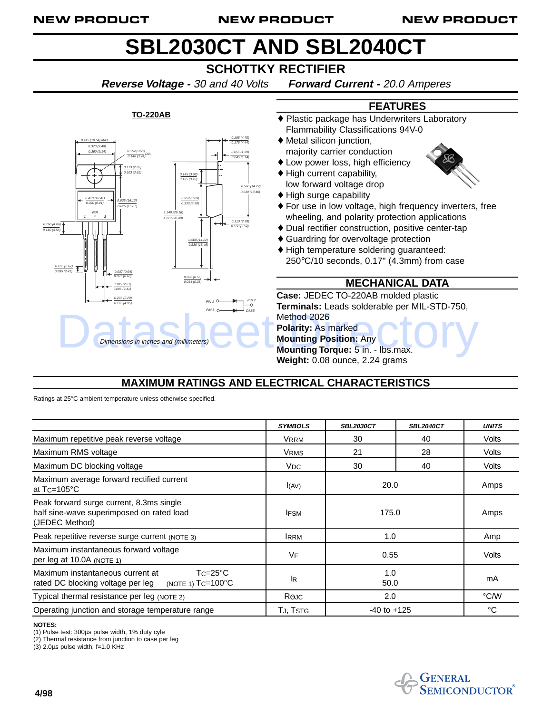#### NEW PRODUCT NEW PRODUCT NEW PRODUCT

# **SBL2030CT AND SBL2040CT**

# **SCHOTTKY RECTIFIER**

**Reverse Voltage -** 30 and 40 Volts **Forward Current -** 20.0 Amperes

#### 0.415 (10.54) MAX. 0.154 (3.91)<br>0.148 (3.74) 0.113 (2.87) 0.103 (2.62) 0.185 (4.70) 0.175 (4.44) 0.055 (1.39) 0.045 (1.14) 0.145 (3.68) 0.135 (3.43) 0.350 (8.89) 0.330 (8.38) 0.160 (4.06) 0.140 (3.56) 0.037 (0.94) 0.027 (0.68) 0.205 (5.20) 0.195 (4.95) 0.560 (14.22) 0.530 (13.46) 0.022 (0.56) 0.014 (0.35) 0.110 (2.79) 0.100 (2.54) **PIN 1 2 3**  $P^{IM}$  1  $C$  $PIN3 \n\bigcirc \n\longrightarrow CASE$ 1.148 (29.16) 1.118 (28.40) 0.105 (2.67) 0.095 (2.41) 0.410 (10.41) 0.390 (9.91) 0.105 (2.67) 0.095 (2.41) .<br>635 (16.13) 0.625 (15.87) 60 (14.22) 0.530 (13.46) PIN 2 0.370 (9.40) 0.360 (9.14) Dimensions in inches and (millimeters)<br>Dimensions in inches and (millimeters)<br>Mounting Position: Any<br>Mounting Torque: 5 in. - Ibs.max. Dimensions in inches and (millimeters)

#### **TO-220AB**



- majority carrier conduction
- ♦ Low power loss, high efficiency
- ♦ High current capability, low forward voltage drop
- ♦ High surge capability
- ♦ For use in low voltage, high frequency inverters, free wheeling, and polarity protection applications

**FEATURES**

- ♦ Dual rectifier construction, positive center-tap
- ♦ Guardring for overvoltage protection
- ♦ High temperature soldering guaranteed: 250°C/10 seconds, 0.17" (4.3mm) from case

### **MECHANICAL DATA**

**Case:** JEDEC TO-220AB molded plastic **Terminals:** Leads solderable per MIL-STD-750, Method 2026 **Polarity:** As marked **Mounting Position:** Any **Mounting Torque:** 5 in. - lbs.max.

**Weight:** 0.08 ounce, 2.24 grams

## **MAXIMUM RATINGS AND ELECTRICAL CHARACTERISTICS**

Ratings at 25°C ambient temperature unless otherwise specified.

|                                                                                                                           | <b>SYMBOLS</b>  | <b>SBL2030CT</b> | <b>SBL2040CT</b> | <b>UNITS</b> |
|---------------------------------------------------------------------------------------------------------------------------|-----------------|------------------|------------------|--------------|
| Maximum repetitive peak reverse voltage                                                                                   | <b>VRRM</b>     | 30               | 40               | Volts        |
| Maximum RMS voltage                                                                                                       | <b>VRMS</b>     | 21               | 28               | Volts        |
| Maximum DC blocking voltage                                                                                               | V <sub>DC</sub> | 30               | 40               | Volts        |
| Maximum average forward rectified current<br>at $Tc = 105^{\circ}C$                                                       | I(AV)           | 20.0             |                  | Amps         |
| Peak forward surge current, 8.3ms single<br>half sine-wave superimposed on rated load<br>(JEDEC Method)                   | <b>IFSM</b>     | 175.0            |                  | Amps         |
| Peak repetitive reverse surge current (NOTE 3)                                                                            | <b>IRRM</b>     | 1.0              |                  | Amp          |
| Maximum instantaneous forward voltage<br>per leg at 10.0A (NOTE 1)                                                        | <b>VF</b>       | 0.55             |                  | Volts        |
| $Tc = 25^{\circ}C$<br>Maximum instantaneous current at<br>(NOTE 1) $Tc=100^{\circ}C$<br>rated DC blocking voltage per leg | lR.             | 1.0<br>50.0      |                  | mA           |
| Typical thermal resistance per leg (NOTE 2)                                                                               | $R_{\Theta}$ JC | 2.0              |                  | °C/W         |
| Operating junction and storage temperature range                                                                          | TJ, TSTG        | $-40$ to $+125$  |                  | °C           |

#### **NOTES:**

(1) Pulse test: 300µs pulse width, 1% duty cyle

(2) Thermal resistance from junction to case per leg  $(3)$  2.0 $\mu$ s pulse width, f=1.0 KHz